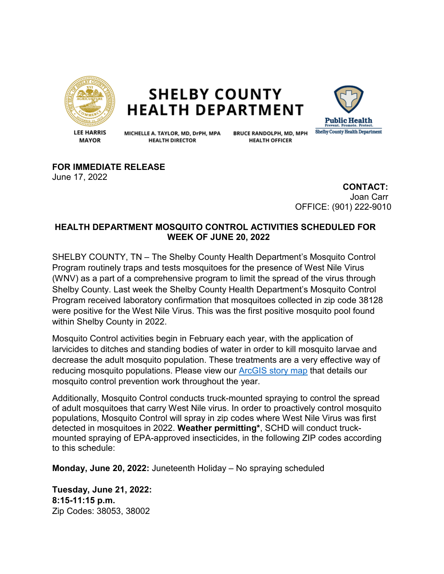

## **SHELBY COUNTY HEALTH DEPARTMENT**



**LEE HARRIS MAYOR** 

MICHELLE A. TAYLOR, MD, DrPH, MPA **HEALTH DIRECTOR** 

**BRUCE RANDOLPH, MD, MPH HEALTH OFFICER** 

**FOR IMMEDIATE RELEASE** June 17, 2022

> **CONTACT:** Joan Carr OFFICE: (901) 222-9010

## **HEALTH DEPARTMENT MOSQUITO CONTROL ACTIVITIES SCHEDULED FOR WEEK OF JUNE 20, 2022**

SHELBY COUNTY, TN – The Shelby County Health Department's Mosquito Control Program routinely traps and tests mosquitoes for the presence of West Nile Virus (WNV) as a part of a comprehensive program to limit the spread of the virus through Shelby County. Last week the Shelby County Health Department's Mosquito Control Program received laboratory confirmation that mosquitoes collected in zip code 38128 were positive for the West Nile Virus. This was the first positive mosquito pool found within Shelby County in 2022.

Mosquito Control activities begin in February each year, with the application of larvicides to ditches and standing bodies of water in order to kill mosquito larvae and decrease the adult mosquito population. These treatments are a very effective way of reducing mosquito populations. Please view our [ArcGIS story map](https://storymaps.arcgis.com/stories/135f4980f2f145b58b53e54fd497181d) that details our mosquito control prevention work throughout the year.

Additionally, Mosquito Control conducts truck-mounted spraying to control the spread of adult mosquitoes that carry West Nile virus. In order to proactively control mosquito populations, Mosquito Control will spray in zip codes where West Nile Virus was first detected in mosquitoes in 2022. **Weather permitting\***, SCHD will conduct truckmounted spraying of EPA-approved insecticides, in the following ZIP codes according to this schedule:

**Monday, June 20, 2022:** Juneteenth Holiday – No spraying scheduled

**Tuesday, June 21, 2022: 8:15-11:15 p.m.**  Zip Codes: 38053, 38002